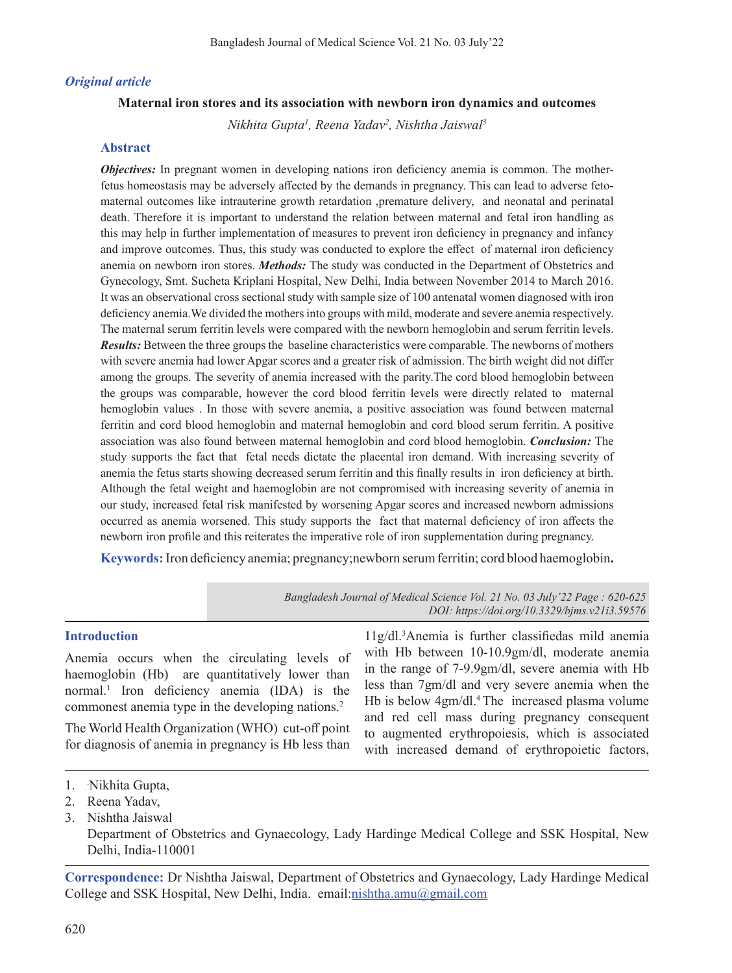### *Original article*

#### **Maternal iron stores and its association with newborn iron dynamics and outcomes**

*Nikhita Gupta1 , Reena Yadav2 , Nishtha Jaiswal3*

#### **Abstract**

*Objectives:* In pregnant women in developing nations iron deficiency anemia is common. The motherfetus homeostasis may be adversely affected by the demands in pregnancy. This can lead to adverse fetomaternal outcomes like intrauterine growth retardation ,premature delivery, and neonatal and perinatal death. Therefore it is important to understand the relation between maternal and fetal iron handling as this may help in further implementation of measures to prevent iron deficiency in pregnancy and infancy and improve outcomes. Thus, this study was conducted to explore the effect of maternal iron deficiency anemia on newborn iron stores. *Methods:* The study was conducted in the Department of Obstetrics and Gynecology, Smt. Sucheta Kriplani Hospital, New Delhi, India between November 2014 to March 2016. It was an observational cross sectional study with sample size of 100 antenatal women diagnosed with iron deficiency anemia.We divided the mothersinto groups with mild, moderate and severe anemia respectively. The maternal serum ferritin levels were compared with the newborn hemoglobin and serum ferritin levels. *Results:* Between the three groups the baseline characteristics were comparable. The newborns of mothers with severe anemia had lower Apgar scores and a greater risk of admission. The birth weight did not differ among the groups. The severity of anemia increased with the parity.The cord blood hemoglobin between the groups was comparable, however the cord blood ferritin levels were directly related to maternal hemoglobin values . In those with severe anemia, a positive association was found between maternal ferritin and cord blood hemoglobin and maternal hemoglobin and cord blood serum ferritin. A positive association was also found between maternal hemoglobin and cord blood hemoglobin. *Conclusion:* The study supports the fact that fetal needs dictate the placental iron demand. With increasing severity of anemia the fetus starts showing decreased serum ferritin and this finally results in iron deficiency at birth. Although the fetal weight and haemoglobin are not compromised with increasing severity of anemia in our study, increased fetal risk manifested by worsening Apgar scores and increased newborn admissions occurred as anemia worsened. This study supports the fact that maternal deficiency of iron affects the newborn iron profile and this reiterates the imperative role of iron supplementation during pregnancy.

**Keywords:**Iron deficiency anemia; pregnancy;newborn serumferritin; cord blood haemoglobin**.**

*Bangladesh Journal of Medical Science Vol. 21 No. 03 July'22 Page : 620-625 DOI: https://doi.org/10.3329/bjms.v21i3.59576*

### **Introduction**

Anemia occurs when the circulating levels of haemoglobin (Hb) are quantitatively lower than normal.<sup>1</sup> Iron deficiency anemia (IDA) is the commonest anemia type in the developing nations.<sup>2</sup>

The World Health Organization (WHO) cut-off point for diagnosis of anemia in pregnancy is Hb less than

11g/dl.<sup>3</sup> Anemia is further classifiedas mild anemia with Hb between 10-10.9gm/dl, moderate anemia in the range of 7-9.9gm/dl, severe anemia with Hb less than 7gm/dl and very severe anemia when the Hb is below 4gm/dl.<sup>4</sup> The increased plasma volume and red cell mass during pregnancy consequent to augmented erythropoiesis, which is associated with increased demand of erythropoietic factors,

3. Nishtha Jaiswal

 Department of Obstetrics and Gynaecology, Lady Hardinge Medical College and SSK Hospital, New Delhi, India-110001

**Correspondence:** Dr Nishtha Jaiswal, Department of Obstetrics and Gynaecology, Lady Hardinge Medical College and SSK Hospital, New Delhi, India. email:nishtha.amu@gmail.com

<sup>1.</sup> Nikhita Gupta,

<sup>2.</sup> Reena Yadav,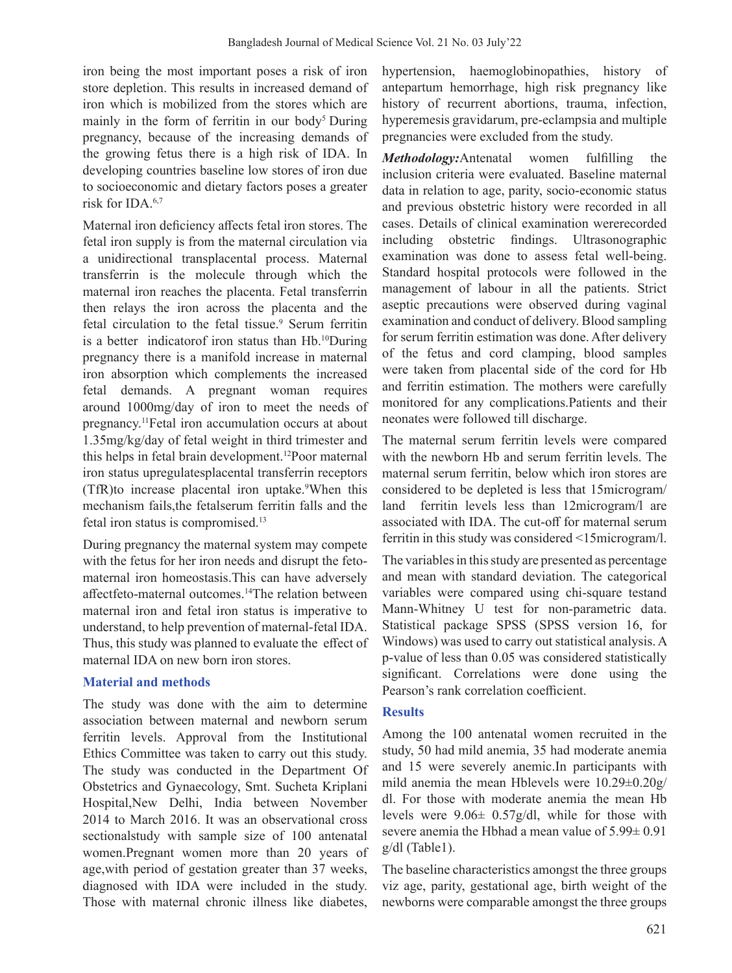iron being the most important poses a risk of iron store depletion. This results in increased demand of iron which is mobilized from the stores which are mainly in the form of ferritin in our body<sup>5</sup> During pregnancy, because of the increasing demands of the growing fetus there is a high risk of IDA. In developing countries baseline low stores of iron due to socioeconomic and dietary factors poses a greater risk for IDA.6,7

Maternal iron deficiency affects fetal iron stores. The fetal iron supply is from the maternal circulation via a unidirectional transplacental process. Maternal transferrin is the molecule through which the maternal iron reaches the placenta. Fetal transferrin then relays the iron across the placenta and the fetal circulation to the fetal tissue.<sup>9</sup> Serum ferritin is a better indicatorof iron status than Hb.10During pregnancy there is a manifold increase in maternal iron absorption which complements the increased fetal demands. A pregnant woman requires around 1000mg/day of iron to meet the needs of pregnancy.11Fetal iron accumulation occurs at about 1.35mg/kg/day of fetal weight in third trimester and this helps in fetal brain development.12Poor maternal iron status upregulatesplacental transferrin receptors (TfR)to increase placental iron uptake.<sup>9</sup> When this mechanism fails,the fetalserum ferritin falls and the fetal iron status is compromised.<sup>13</sup>

During pregnancy the maternal system may compete with the fetus for her iron needs and disrupt the fetomaternal iron homeostasis.This can have adversely affectfeto-maternal outcomes.14The relation between maternal iron and fetal iron status is imperative to understand, to help prevention of maternal-fetal IDA. Thus, this study was planned to evaluate the effect of maternal IDA on new born iron stores.

## **Material and methods**

The study was done with the aim to determine association between maternal and newborn serum ferritin levels. Approval from the Institutional Ethics Committee was taken to carry out this study. The study was conducted in the Department Of Obstetrics and Gynaecology, Smt. Sucheta Kriplani Hospital,New Delhi, India between November 2014 to March 2016. It was an observational cross sectionalstudy with sample size of 100 antenatal women.Pregnant women more than 20 years of age,with period of gestation greater than 37 weeks, diagnosed with IDA were included in the study. Those with maternal chronic illness like diabetes,

hypertension, haemoglobinopathies, history of antepartum hemorrhage, high risk pregnancy like history of recurrent abortions, trauma, infection, hyperemesis gravidarum, pre-eclampsia and multiple pregnancies were excluded from the study.

*Methodology:*Antenatal women fulfilling the inclusion criteria were evaluated. Baseline maternal data in relation to age, parity, socio-economic status and previous obstetric history were recorded in all cases. Details of clinical examination wererecorded including obstetric findings. Ultrasonographic examination was done to assess fetal well-being. Standard hospital protocols were followed in the management of labour in all the patients. Strict aseptic precautions were observed during vaginal examination and conduct of delivery. Blood sampling for serum ferritin estimation was done. After delivery of the fetus and cord clamping, blood samples were taken from placental side of the cord for Hb and ferritin estimation. The mothers were carefully monitored for any complications.Patients and their neonates were followed till discharge.

The maternal serum ferritin levels were compared with the newborn Hb and serum ferritin levels. The maternal serum ferritin, below which iron stores are considered to be depleted is less that 15microgram/ land ferritin levels less than 12microgram/l are associated with IDA. The cut-off for maternal serum ferritin in this study was considered <15microgram/l.

The variables in this study are presented as percentage and mean with standard deviation. The categorical variables were compared using chi-square testand Mann-Whitney U test for non-parametric data. Statistical package SPSS (SPSS version 16, for Windows) was used to carry out statistical analysis. A p-value of less than 0.05 was considered statistically significant. Correlations were done using the Pearson's rank correlation coefficient.

### **Results**

Among the 100 antenatal women recruited in the study, 50 had mild anemia, 35 had moderate anemia and 15 were severely anemic.In participants with mild anemia the mean Hblevels were 10.29±0.20g/ dl. For those with moderate anemia the mean Hb levels were 9.06± 0.57g/dl, while for those with severe anemia the Hbhad a mean value of  $5.99 \pm 0.91$ g/dl (Table1).

The baseline characteristics amongst the three groups viz age, parity, gestational age, birth weight of the newborns were comparable amongst the three groups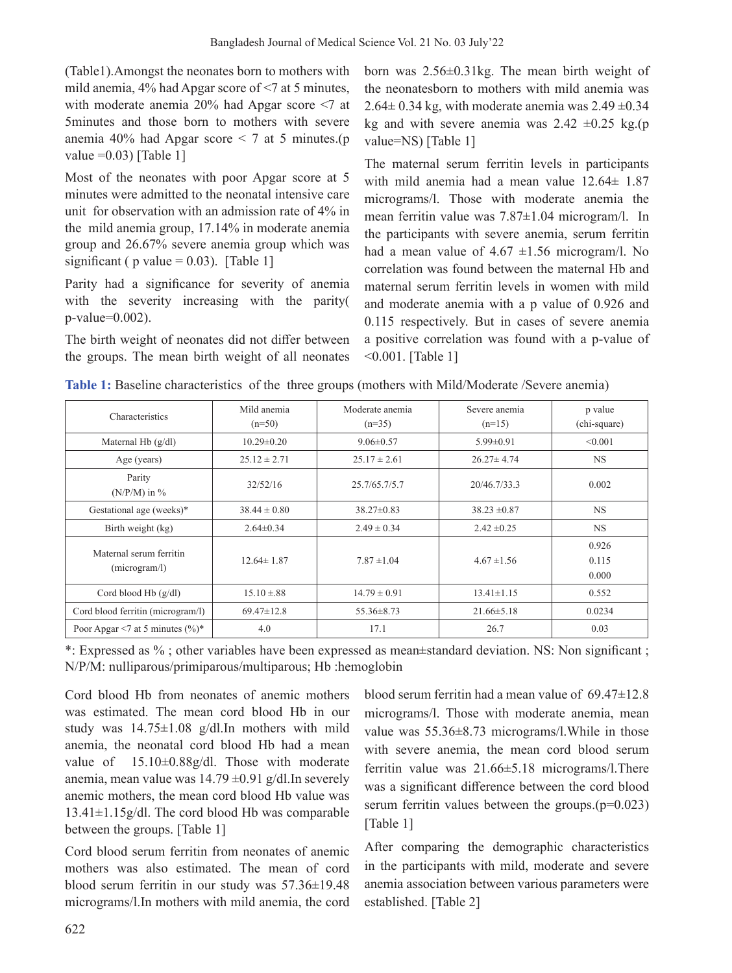(Table1).Amongst the neonates born to mothers with mild anemia, 4% had Apgar score of <7 at 5 minutes, with moderate anemia 20% had Apgar score <7 at 5minutes and those born to mothers with severe anemia 40% had Apgar score  $\leq$  7 at 5 minutes.(p value  $=0.03$ ) [Table 1]

Most of the neonates with poor Apgar score at 5 minutes were admitted to the neonatal intensive care unit for observation with an admission rate of 4% in the mild anemia group, 17.14% in moderate anemia group and 26.67% severe anemia group which was significant ( $p$  value = 0.03). [Table 1]

Parity had a significance for severity of anemia with the severity increasing with the parity( p-value=0.002).

The birth weight of neonates did not differ between the groups. The mean birth weight of all neonates

born was 2.56±0.31kg. The mean birth weight of the neonatesborn to mothers with mild anemia was  $2.64 \pm 0.34$  kg, with moderate anemia was  $2.49 \pm 0.34$ kg and with severe anemia was  $2.42 \pm 0.25$  kg.(p value=NS) [Table 1]

The maternal serum ferritin levels in participants with mild anemia had a mean value 12.64± 1.87 micrograms/l. Those with moderate anemia the mean ferritin value was 7.87±1.04 microgram/l. In the participants with severe anemia, serum ferritin had a mean value of  $4.67 \pm 1.56$  microgram/l. No correlation was found between the maternal Hb and maternal serum ferritin levels in women with mild and moderate anemia with a p value of 0.926 and 0.115 respectively. But in cases of severe anemia a positive correlation was found with a p-value of <0.001. [Table 1]

| Characteristics                          | Mild anemia<br>$(n=50)$ | Moderate anemia<br>$(n=35)$ | Severe anemia<br>$(n=15)$ | p value<br>(chi-square) |
|------------------------------------------|-------------------------|-----------------------------|---------------------------|-------------------------|
| Maternal Hb $(g/dl)$                     | $10.29 \pm 0.20$        | $9.06 \pm 0.57$             | $5.99 \pm 0.91$           | < 0.001                 |
| Age (years)                              | $25.12 \pm 2.71$        | $25.17 \pm 2.61$            | $26.27 \pm 4.74$          | <b>NS</b>               |
| Parity<br>$(N/P/M)$ in %                 | 32/52/16                | 25.7/65.7/5.7               | 20/46.7/33.3              | 0.002                   |
| Gestational age (weeks)*                 | $38.44 \pm 0.80$        | $38.27 \pm 0.83$            | $38.23 \pm 0.87$          | <b>NS</b>               |
| Birth weight (kg)                        | $2.64 \pm 0.34$         | $2.49 \pm 0.34$             | $2.42 \pm 0.25$           | <b>NS</b>               |
| Maternal serum ferritin<br>(microgram/l) | $12.64 \pm 1.87$        | $7.87 \pm 1.04$             | $4.67 \pm 1.56$           | 0.926<br>0.115<br>0.000 |
| Cord blood $Hb$ ( $g/dl$ )               | $15.10 \pm .88$         | $14.79 \pm 0.91$            | $13.41 \pm 1.15$          | 0.552                   |
| Cord blood ferritin (microgram/l)        | $69.47 \pm 12.8$        | $55.36 \pm 8.73$            | $21.66 \pm 5.18$          | 0.0234                  |
| Poor Apgar <7 at 5 minutes $(\%)^*$      | 4.0                     | 17.1                        | 26.7                      | 0.03                    |

**Table 1:** Baseline characteristics of the three groups (mothers with Mild/Moderate /Severe anemia)

\*: Expressed as % ; other variables have been expressed as mean±standard deviation. NS: Non significant ; N/P/M: nulliparous/primiparous/multiparous; Hb :hemoglobin

Cord blood Hb from neonates of anemic mothers was estimated. The mean cord blood Hb in our study was 14.75±1.08 g/dl.In mothers with mild anemia, the neonatal cord blood Hb had a mean value of 15.10±0.88g/dl. Those with moderate anemia, mean value was  $14.79 \pm 0.91$  g/dl. In severely anemic mothers, the mean cord blood Hb value was 13.41±1.15g/dl. The cord blood Hb was comparable between the groups. [Table 1]

Cord blood serum ferritin from neonates of anemic mothers was also estimated. The mean of cord blood serum ferritin in our study was 57.36±19.48 micrograms/l.In mothers with mild anemia, the cord blood serum ferritin had a mean value of 69.47±12.8 micrograms/l. Those with moderate anemia, mean value was 55.36±8.73 micrograms/l.While in those with severe anemia, the mean cord blood serum ferritin value was 21.66±5.18 micrograms/l.There was a significant difference between the cord blood serum ferritin values between the groups. $(p=0.023)$ [Table 1]

After comparing the demographic characteristics in the participants with mild, moderate and severe anemia association between various parameters were established. [Table 2]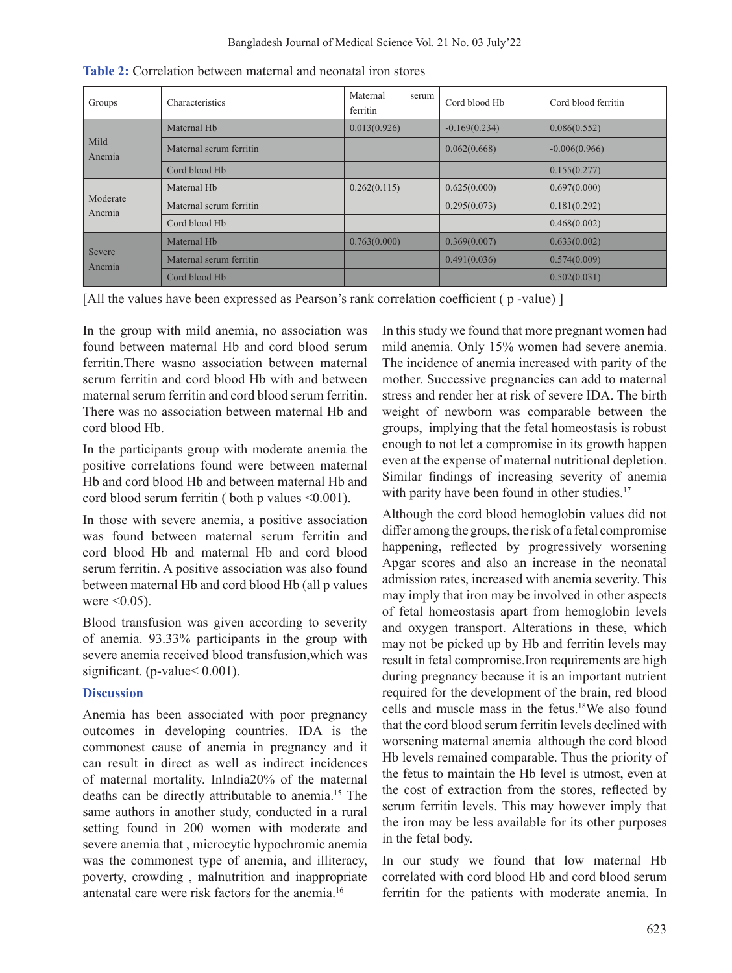| Groups             | Characteristics         | Maternal<br>serum<br>ferritin | Cord blood Hb   | Cord blood ferritin |
|--------------------|-------------------------|-------------------------------|-----------------|---------------------|
| Mild<br>Anemia     | Maternal H <sub>b</sub> | 0.013(0.926)                  | $-0.169(0.234)$ | 0.086(0.552)        |
|                    | Maternal serum ferritin |                               | 0.062(0.668)    | $-0.006(0.966)$     |
|                    | Cord blood Hb           |                               |                 | 0.155(0.277)        |
| Moderate<br>Anemia | Maternal H <sub>b</sub> | 0.262(0.115)                  | 0.625(0.000)    | 0.697(0.000)        |
|                    | Maternal serum ferritin |                               | 0.295(0.073)    | 0.181(0.292)        |
|                    | Cord blood Hb           |                               |                 | 0.468(0.002)        |
| Severe<br>Anemia   | Maternal H <sub>b</sub> | 0.763(0.000)                  | 0.369(0.007)    | 0.633(0.002)        |
|                    | Maternal serum ferritin |                               | 0.491(0.036)    | 0.574(0.009)        |
|                    | Cord blood Hb           |                               |                 | 0.502(0.031)        |

**Table 2:** Correlation between maternal and neonatal iron stores

[All the values have been expressed as Pearson's rank correlation coefficient ( $p$ -value)]

In the group with mild anemia, no association was found between maternal Hb and cord blood serum ferritin.There wasno association between maternal serum ferritin and cord blood Hb with and between maternal serum ferritin and cord blood serum ferritin. There was no association between maternal Hb and cord blood Hb.

In the participants group with moderate anemia the positive correlations found were between maternal Hb and cord blood Hb and between maternal Hb and cord blood serum ferritin ( both p values <0.001).

In those with severe anemia, a positive association was found between maternal serum ferritin and cord blood Hb and maternal Hb and cord blood serum ferritin. A positive association was also found between maternal Hb and cord blood Hb (all p values were  $\leq 0.05$ ).

Blood transfusion was given according to severity of anemia. 93.33% participants in the group with severe anemia received blood transfusion,which was significant. (p-value < 0.001).

# **Discussion**

Anemia has been associated with poor pregnancy outcomes in developing countries. IDA is the commonest cause of anemia in pregnancy and it can result in direct as well as indirect incidences of maternal mortality. InIndia20% of the maternal deaths can be directly attributable to anemia.15 The same authors in another study, conducted in a rural setting found in 200 women with moderate and severe anemia that , microcytic hypochromic anemia was the commonest type of anemia, and illiteracy, poverty, crowding , malnutrition and inappropriate antenatal care were risk factors for the anemia.16

In this study we found that more pregnant women had mild anemia. Only 15% women had severe anemia. The incidence of anemia increased with parity of the mother. Successive pregnancies can add to maternal stress and render her at risk of severe IDA. The birth weight of newborn was comparable between the groups, implying that the fetal homeostasis is robust enough to not let a compromise in its growth happen even at the expense of maternal nutritional depletion. Similar findings of increasing severity of anemia with parity have been found in other studies.<sup>17</sup>

Although the cord blood hemoglobin values did not differ among the groups, the risk of a fetal compromise happening, reflected by progressively worsening Apgar scores and also an increase in the neonatal admission rates, increased with anemia severity. This may imply that iron may be involved in other aspects of fetal homeostasis apart from hemoglobin levels and oxygen transport. Alterations in these, which may not be picked up by Hb and ferritin levels may result in fetal compromise.Iron requirements are high during pregnancy because it is an important nutrient required for the development of the brain, red blood cells and muscle mass in the fetus.18We also found that the cord blood serum ferritin levels declined with worsening maternal anemia although the cord blood Hb levels remained comparable. Thus the priority of the fetus to maintain the Hb level is utmost, even at the cost of extraction from the stores, reflected by serum ferritin levels. This may however imply that the iron may be less available for its other purposes in the fetal body.

In our study we found that low maternal Hb correlated with cord blood Hb and cord blood serum ferritin for the patients with moderate anemia. In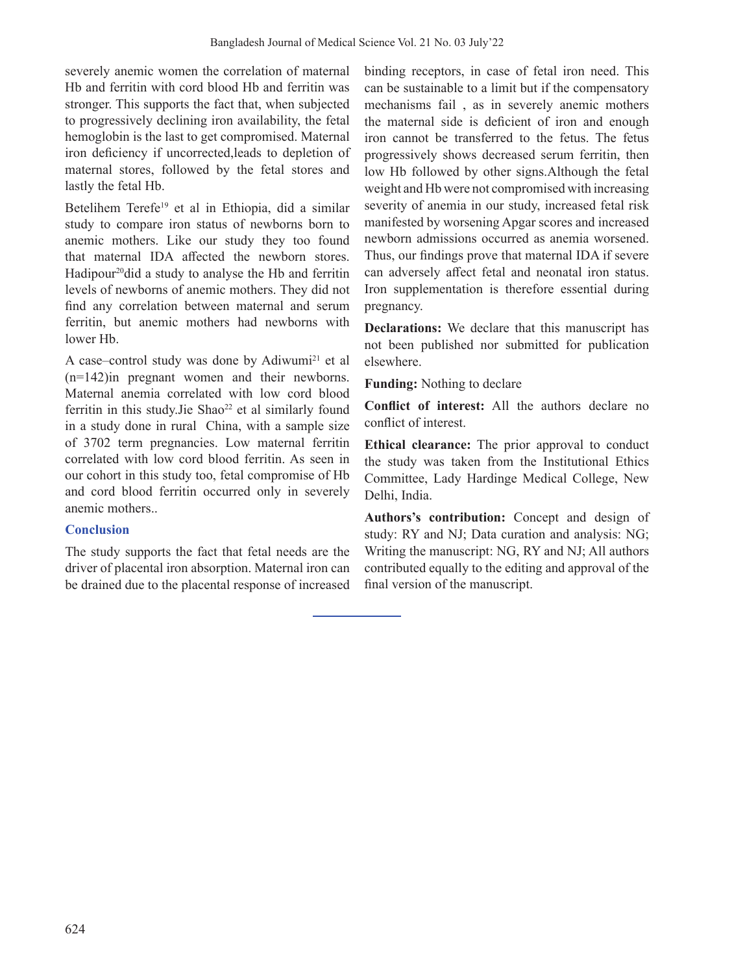severely anemic women the correlation of maternal Hb and ferritin with cord blood Hb and ferritin was stronger. This supports the fact that, when subjected to progressively declining iron availability, the fetal hemoglobin is the last to get compromised. Maternal iron deficiency if uncorrected,leads to depletion of maternal stores, followed by the fetal stores and lastly the fetal Hb.

Betelihem Terefe<sup>19</sup> et al in Ethiopia, did a similar study to compare iron status of newborns born to anemic mothers. Like our study they too found that maternal IDA affected the newborn stores. Hadipour<sup>20</sup>did a study to analyse the Hb and ferritin levels of newborns of anemic mothers. They did not find any correlation between maternal and serum ferritin, but anemic mothers had newborns with lower Hb.

A case–control study was done by Adiwumi<sup>21</sup> et al (n=142)in pregnant women and their newborns. Maternal anemia correlated with low cord blood ferritin in this study. Jie Shao $22$  et al similarly found in a study done in rural China, with a sample size of 3702 term pregnancies. Low maternal ferritin correlated with low cord blood ferritin. As seen in our cohort in this study too, fetal compromise of Hb and cord blood ferritin occurred only in severely anemic mothers..

### **Conclusion**

The study supports the fact that fetal needs are the driver of placental iron absorption. Maternal iron can be drained due to the placental response of increased

binding receptors, in case of fetal iron need. This can be sustainable to a limit but if the compensatory mechanisms fail , as in severely anemic mothers the maternal side is deficient of iron and enough iron cannot be transferred to the fetus. The fetus progressively shows decreased serum ferritin, then low Hb followed by other signs.Although the fetal weight and Hb were not compromised with increasing severity of anemia in our study, increased fetal risk manifested by worsening Apgar scores and increased newborn admissions occurred as anemia worsened. Thus, our findings prove that maternal IDA if severe can adversely affect fetal and neonatal iron status. Iron supplementation is therefore essential during pregnancy.

**Declarations:** We declare that this manuscript has not been published nor submitted for publication elsewhere.

**Funding:** Nothing to declare

**Conflict of interest:** All the authors declare no conflict of interest.

**Ethical clearance:** The prior approval to conduct the study was taken from the Institutional Ethics Committee, Lady Hardinge Medical College, New Delhi, India.

**Authors's contribution:** Concept and design of study: RY and NJ; Data curation and analysis: NG; Writing the manuscript: NG, RY and NJ; All authors contributed equally to the editing and approval of the final version of the manuscript.